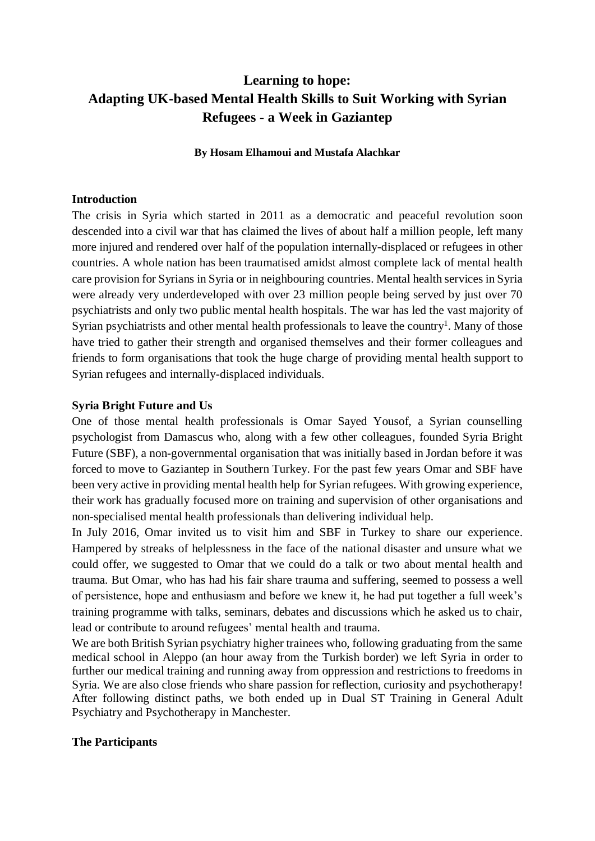# **Learning to hope: Adapting UK-based Mental Health Skills to Suit Working with Syrian Refugees - a Week in Gaziantep**

**By Hosam Elhamoui and Mustafa Alachkar**

#### **Introduction**

The crisis in Syria which started in 2011 as a democratic and peaceful revolution soon descended into a civil war that has claimed the lives of about half a million people, left many more injured and rendered over half of the population internally-displaced or refugees in other countries. A whole nation has been traumatised amidst almost complete lack of mental health care provision for Syrians in Syria or in neighbouring countries. Mental health services in Syria were already very underdeveloped with over 23 million people being served by just over 70 psychiatrists and only two public mental health hospitals. The war has led the vast majority of Syrian psychiatrists and other mental health professionals to leave the country<sup>1</sup>. Many of those have tried to gather their strength and organised themselves and their former colleagues and friends to form organisations that took the huge charge of providing mental health support to Syrian refugees and internally-displaced individuals.

#### **Syria Bright Future and Us**

One of those mental health professionals is Omar Sayed Yousof, a Syrian counselling psychologist from Damascus who, along with a few other colleagues, founded Syria Bright Future (SBF), a non-governmental organisation that was initially based in Jordan before it was forced to move to Gaziantep in Southern Turkey. For the past few years Omar and SBF have been very active in providing mental health help for Syrian refugees. With growing experience, their work has gradually focused more on training and supervision of other organisations and non-specialised mental health professionals than delivering individual help.

In July 2016, Omar invited us to visit him and SBF in Turkey to share our experience. Hampered by streaks of helplessness in the face of the national disaster and unsure what we could offer, we suggested to Omar that we could do a talk or two about mental health and trauma. But Omar, who has had his fair share trauma and suffering, seemed to possess a well of persistence, hope and enthusiasm and before we knew it, he had put together a full week's training programme with talks, seminars, debates and discussions which he asked us to chair, lead or contribute to around refugees' mental health and trauma.

We are both British Syrian psychiatry higher trainees who, following graduating from the same medical school in Aleppo (an hour away from the Turkish border) we left Syria in order to further our medical training and running away from oppression and restrictions to freedoms in Syria. We are also close friends who share passion for reflection, curiosity and psychotherapy! After following distinct paths, we both ended up in Dual ST Training in General Adult Psychiatry and Psychotherapy in Manchester.

#### **The Participants**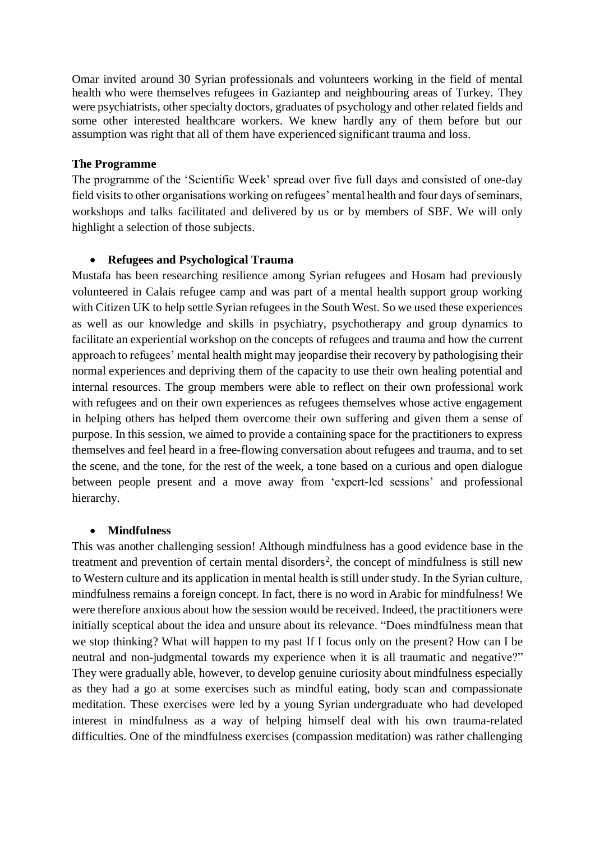Omar invited around 30 Syrian professionals and volunteers working in the field of mental health who were themselves refugees in Gaziantep and neighbouring areas of Turkey. They were psychiatrists, other specialty doctors, graduates of psychology and other related fields and some other interested healthcare workers. We knew hardly any of them before but our assumption was right that all of them have experienced significant trauma and loss.

### **The Programme**

The programme of the 'Scientific Week' spread over five full days and consisted of one-day field visits to other organisations working on refugees' mental health and four days of seminars, workshops and talks facilitated and delivered by us or by members of SBF. We will only highlight a selection of those subjects.

### • **Refugees and Psychological Trauma**

Mustafa has been researching resilience among Syrian refugees and Hosam had previously volunteered in Calais refugee camp and was part of a mental health support group working with Citizen UK to help settle Syrian refugees in the South West. So we used these experiences as well as our knowledge and skills in psychiatry, psychotherapy and group dynamics to facilitate an experiential workshop on the concepts of refugees and trauma and how the current approach to refugees' mental health might may jeopardise their recovery by pathologising their normal experiences and depriving them of the capacity to use their own healing potential and internal resources. The group members were able to reflect on their own professional work with refugees and on their own experiences as refugees themselves whose active engagement in helping others has helped them overcome their own suffering and given them a sense of purpose. In this session, we aimed to provide a containing space for the practitioners to express themselves and feel heard in a free-flowing conversation about refugees and trauma, and to set the scene, and the tone, for the rest of the week, a tone based on a curious and open dialogue between people present and a move away from 'expert-led sessions' and professional hierarchy.

### • **Mindfulness**

This was another challenging session! Although mindfulness has a good evidence base in the treatment and prevention of certain mental disorders<sup>2</sup>, the concept of mindfulness is still new to Western culture and its application in mental health is still under study. In the Syrian culture, mindfulness remains a foreign concept. In fact, there is no word in Arabic for mindfulness! We were therefore anxious about how the session would be received. Indeed, the practitioners were initially sceptical about the idea and unsure about its relevance. "Does mindfulness mean that we stop thinking? What will happen to my past If I focus only on the present? How can I be neutral and non-judgmental towards my experience when it is all traumatic and negative?" They were gradually able, however, to develop genuine curiosity about mindfulness especially as they had a go at some exercises such as mindful eating, body scan and compassionate meditation. These exercises were led by a young Syrian undergraduate who had developed interest in mindfulness as a way of helping himself deal with his own trauma-related difficulties. One of the mindfulness exercises (compassion meditation) was rather challenging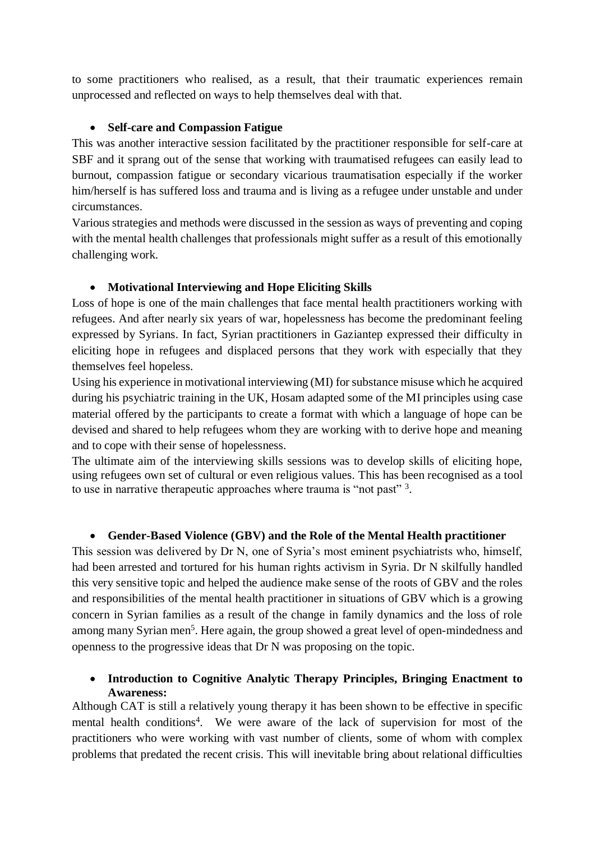to some practitioners who realised, as a result, that their traumatic experiences remain unprocessed and reflected on ways to help themselves deal with that.

### • **Self-care and Compassion Fatigue**

This was another interactive session facilitated by the practitioner responsible for self-care at SBF and it sprang out of the sense that working with traumatised refugees can easily lead to burnout, compassion fatigue or secondary vicarious traumatisation especially if the worker him/herself is has suffered loss and trauma and is living as a refugee under unstable and under circumstances.

Various strategies and methods were discussed in the session as ways of preventing and coping with the mental health challenges that professionals might suffer as a result of this emotionally challenging work.

# • **Motivational Interviewing and Hope Eliciting Skills**

Loss of hope is one of the main challenges that face mental health practitioners working with refugees. And after nearly six years of war, hopelessness has become the predominant feeling expressed by Syrians. In fact, Syrian practitioners in Gaziantep expressed their difficulty in eliciting hope in refugees and displaced persons that they work with especially that they themselves feel hopeless.

Using his experience in motivational interviewing (MI) for substance misuse which he acquired during his psychiatric training in the UK, Hosam adapted some of the MI principles using case material offered by the participants to create a format with which a language of hope can be devised and shared to help refugees whom they are working with to derive hope and meaning and to cope with their sense of hopelessness.

The ultimate aim of the interviewing skills sessions was to develop skills of eliciting hope, using refugees own set of cultural or even religious values. This has been recognised as a tool to use in narrative therapeutic approaches where trauma is "not past"<sup>3</sup>.

# • **Gender-Based Violence (GBV) and the Role of the Mental Health practitioner**

This session was delivered by Dr N, one of Syria's most eminent psychiatrists who, himself, had been arrested and tortured for his human rights activism in Syria. Dr N skilfully handled this very sensitive topic and helped the audience make sense of the roots of GBV and the roles and responsibilities of the mental health practitioner in situations of GBV which is a growing concern in Syrian families as a result of the change in family dynamics and the loss of role among many Syrian men<sup>5</sup>. Here again, the group showed a great level of open-mindedness and openness to the progressive ideas that Dr N was proposing on the topic.

# • **Introduction to Cognitive Analytic Therapy Principles, Bringing Enactment to Awareness:**

Although CAT is still a relatively young therapy it has been shown to be effective in specific mental health conditions<sup>4</sup>. We were aware of the lack of supervision for most of the practitioners who were working with vast number of clients, some of whom with complex problems that predated the recent crisis. This will inevitable bring about relational difficulties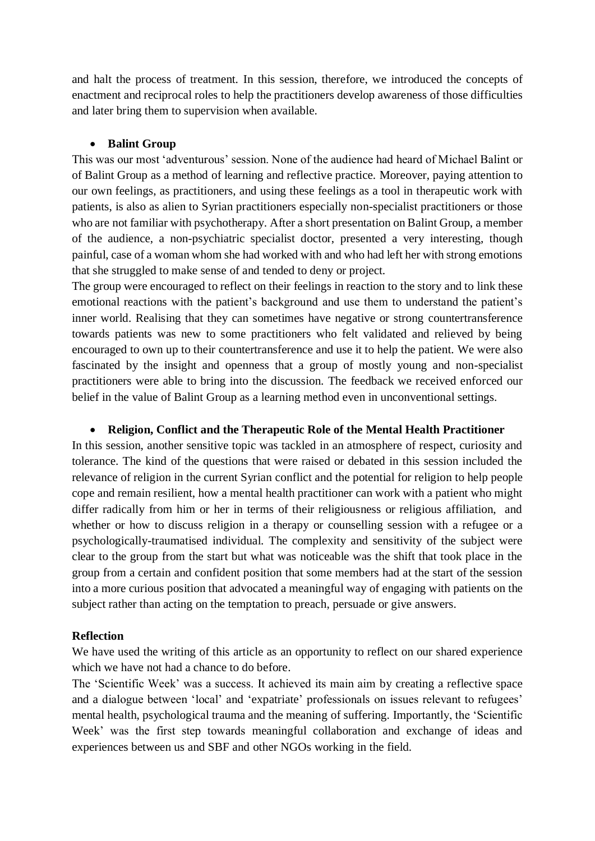and halt the process of treatment. In this session, therefore, we introduced the concepts of enactment and reciprocal roles to help the practitioners develop awareness of those difficulties and later bring them to supervision when available.

### • **Balint Group**

This was our most 'adventurous' session. None of the audience had heard of Michael Balint or of Balint Group as a method of learning and reflective practice. Moreover, paying attention to our own feelings, as practitioners, and using these feelings as a tool in therapeutic work with patients, is also as alien to Syrian practitioners especially non-specialist practitioners or those who are not familiar with psychotherapy. After a short presentation on Balint Group, a member of the audience, a non-psychiatric specialist doctor, presented a very interesting, though painful, case of a woman whom she had worked with and who had left her with strong emotions that she struggled to make sense of and tended to deny or project.

The group were encouraged to reflect on their feelings in reaction to the story and to link these emotional reactions with the patient's background and use them to understand the patient's inner world. Realising that they can sometimes have negative or strong countertransference towards patients was new to some practitioners who felt validated and relieved by being encouraged to own up to their countertransference and use it to help the patient. We were also fascinated by the insight and openness that a group of mostly young and non-specialist practitioners were able to bring into the discussion. The feedback we received enforced our belief in the value of Balint Group as a learning method even in unconventional settings.

### • **Religion, Conflict and the Therapeutic Role of the Mental Health Practitioner**

In this session, another sensitive topic was tackled in an atmosphere of respect, curiosity and tolerance. The kind of the questions that were raised or debated in this session included the relevance of religion in the current Syrian conflict and the potential for religion to help people cope and remain resilient, how a mental health practitioner can work with a patient who might differ radically from him or her in terms of their religiousness or religious affiliation, and whether or how to discuss religion in a therapy or counselling session with a refugee or a psychologically-traumatised individual. The complexity and sensitivity of the subject were clear to the group from the start but what was noticeable was the shift that took place in the group from a certain and confident position that some members had at the start of the session into a more curious position that advocated a meaningful way of engaging with patients on the subject rather than acting on the temptation to preach, persuade or give answers.

### **Reflection**

We have used the writing of this article as an opportunity to reflect on our shared experience which we have not had a chance to do before.

The 'Scientific Week' was a success. It achieved its main aim by creating a reflective space and a dialogue between 'local' and 'expatriate' professionals on issues relevant to refugees' mental health, psychological trauma and the meaning of suffering. Importantly, the 'Scientific Week' was the first step towards meaningful collaboration and exchange of ideas and experiences between us and SBF and other NGOs working in the field.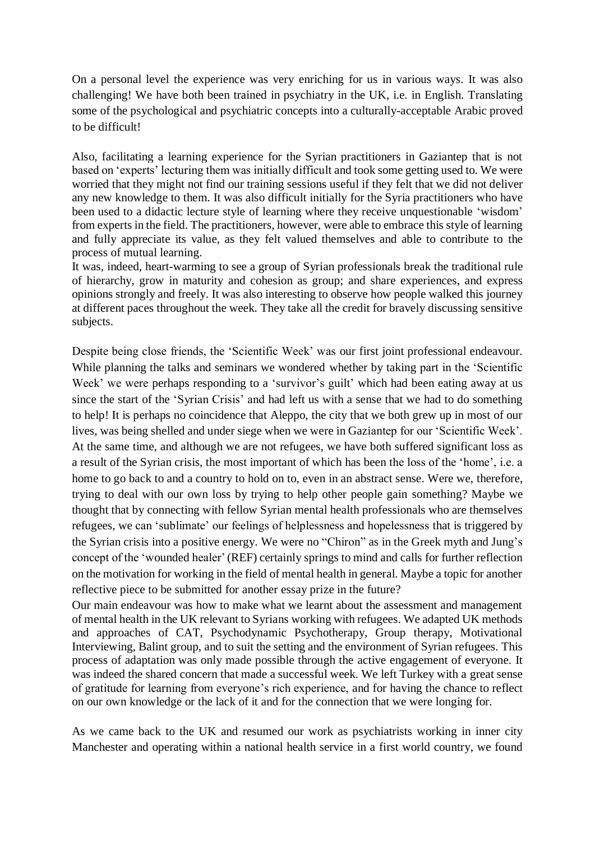On a personal level the experience was very enriching for us in various ways. It was also challenging! We have both been trained in psychiatry in the UK, i.e. in English. Translating some of the psychological and psychiatric concepts into a culturally-acceptable Arabic proved to be difficult!

Also, facilitating a learning experience for the Syrian practitioners in Gaziantep that is not based on 'experts' lecturing them was initially difficult and took some getting used to. We were worried that they might not find our training sessions useful if they felt that we did not deliver any new knowledge to them. It was also difficult initially for the Syria practitioners who have been used to a didactic lecture style of learning where they receive unquestionable 'wisdom' from experts in the field. The practitioners, however, were able to embrace this style of learning and fully appreciate its value, as they felt valued themselves and able to contribute to the process of mutual learning.

It was, indeed, heart-warming to see a group of Syrian professionals break the traditional rule of hierarchy, grow in maturity and cohesion as group; and share experiences, and express opinions strongly and freely. It was also interesting to observe how people walked this journey at different paces throughout the week. They take all the credit for bravely discussing sensitive subjects.

Despite being close friends, the 'Scientific Week' was our first joint professional endeavour. While planning the talks and seminars we wondered whether by taking part in the 'Scientific Week' we were perhaps responding to a 'survivor's guilt' which had been eating away at us since the start of the 'Syrian Crisis' and had left us with a sense that we had to do something to help! It is perhaps no coincidence that Aleppo, the city that we both grew up in most of our lives, was being shelled and under siege when we were in Gaziantep for our 'Scientific Week'. At the same time, and although we are not refugees, we have both suffered significant loss as a result of the Syrian crisis, the most important of which has been the loss of the 'home', i.e. a home to go back to and a country to hold on to, even in an abstract sense. Were we, therefore, trying to deal with our own loss by trying to help other people gain something? Maybe we thought that by connecting with fellow Syrian mental health professionals who are themselves refugees, we can 'sublimate' our feelings of helplessness and hopelessness that is triggered by the Syrian crisis into a positive energy. We were no "Chiron" as in the Greek myth and Jung's concept of the 'wounded healer'(REF) certainly springs to mind and calls for further reflection on the motivation for working in the field of mental health in general. Maybe a topic for another reflective piece to be submitted for another essay prize in the future?

Our main endeavour was how to make what we learnt about the assessment and management of mental health in the UK relevant to Syrians working with refugees. We adapted UK methods and approaches of CAT, Psychodynamic Psychotherapy, Group therapy, Motivational Interviewing, Balint group, and to suit the setting and the environment of Syrian refugees. This process of adaptation was only made possible through the active engagement of everyone. It was indeed the shared concern that made a successful week. We left Turkey with a great sense of gratitude for learning from everyone's rich experience, and for having the chance to reflect on our own knowledge or the lack of it and for the connection that we were longing for.

As we came back to the UK and resumed our work as psychiatrists working in inner city Manchester and operating within a national health service in a first world country, we found